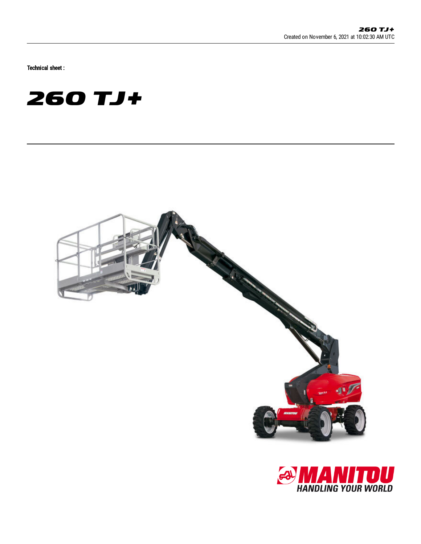Technical sheet :





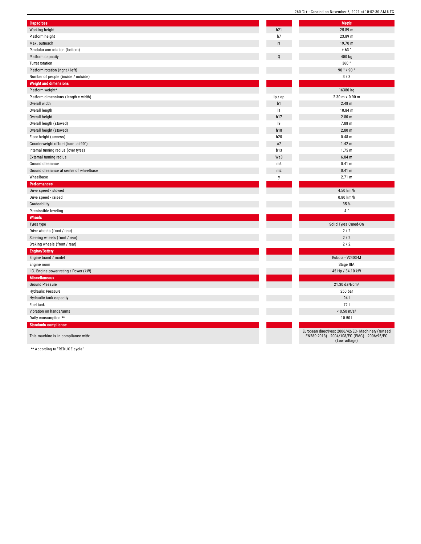| <b>Capacities</b>                       |         | <b>Metric</b>                                                                                                        |
|-----------------------------------------|---------|----------------------------------------------------------------------------------------------------------------------|
| Working height                          | h21     | 25.89 m                                                                                                              |
| Platform height                         | h7      | 23.89 m                                                                                                              |
| Max. outreach                           | r1      | 19.70 m                                                                                                              |
| Pendular arm rotation (bottom)          |         | $+63°$                                                                                                               |
| Platform capacity                       | Q       | 400 kg                                                                                                               |
| <b>Turret rotation</b>                  |         | 360°                                                                                                                 |
| Platform rotation (right / left)        |         | 90 °/90 °                                                                                                            |
| Number of people (inside / outside)     |         | 3/3                                                                                                                  |
| <b>Weight and dimensions</b>            |         |                                                                                                                      |
| Platform weight*                        |         | 16380 kg                                                                                                             |
| Platform dimensions (length x width)    | lp / ep | 2.30 m x 0.90 m                                                                                                      |
| Overall width                           | b1      | 2.48 m                                                                                                               |
| Overall length                          | 1       | 10.84 m                                                                                                              |
| Overall height                          | h17     | 2.80 <sub>m</sub>                                                                                                    |
| Overall length (stowed)                 | 9       | 7.88 m                                                                                                               |
| Overall height (stowed)                 | h18     | 2.80 <sub>m</sub>                                                                                                    |
| Floor height (access)                   | h20     | $0.48$ m                                                                                                             |
| Counterweight offset (turret at 90°)    | a7      | 1.42 m                                                                                                               |
| Internal turning radius (over tyres)    | b13     | 1.75 m                                                                                                               |
| External turning radius                 | Wa3     | $6.84$ m                                                                                                             |
| Ground clearance                        | m4      | 0.41 m                                                                                                               |
| Ground clearance at centre of wheelbase | m2      | 0.41 m                                                                                                               |
| Wheelbase                               | y       | 2.71 m                                                                                                               |
| Performances                            |         |                                                                                                                      |
| Drive speed - stowed                    |         | 4.50 km/h                                                                                                            |
| Drive speed - raised                    |         | 0.80 km/h                                                                                                            |
| Gradeability                            |         | 35 %                                                                                                                 |
| Permissible leveling                    |         | $4^{\circ}$                                                                                                          |
| Wheels                                  |         |                                                                                                                      |
| Tyres type                              |         | Solid Tyres Cured-On                                                                                                 |
| Drive wheels (front / rear)             |         | $2/2$                                                                                                                |
| Steering wheels (front / rear)          |         | $2/2$                                                                                                                |
| Braking wheels (front / rear)           |         | 2/2                                                                                                                  |
| Engine/Battery                          |         |                                                                                                                      |
| Engine brand / model                    |         | Kubota - V2403-M                                                                                                     |
| Engine norm                             |         | Stage IIIA                                                                                                           |
| I.C. Engine power rating / Power (kW)   |         | 45 Hp / 34.10 kW                                                                                                     |
| <b>Miscellaneous</b>                    |         |                                                                                                                      |
| <b>Ground Pressure</b>                  |         | 21.30 daN/cm <sup>2</sup>                                                                                            |
| Hydraulic Pressure                      |         | 250 bar                                                                                                              |
| Hydraulic tank capacity                 |         | 94                                                                                                                   |
| Fuel tank                               |         | 721                                                                                                                  |
| Vibration on hands/arms                 |         | $< 0.50$ m/s <sup>2</sup>                                                                                            |
| Daily consumption **                    |         | 10.501                                                                                                               |
| <b>Standards compliance</b>             |         |                                                                                                                      |
| This machine is in compliance with:     |         | European directives: 2006/42/EC- Machinery (revised<br>EN280:2013) - 2004/108/EC (EMC) - 2006/95/EC<br>(Low voltage) |

260 TJ+ - Created on November 6, 2021 at 10:02:30 AM UTC

\*\* According to "REDUCE cycle"

Standar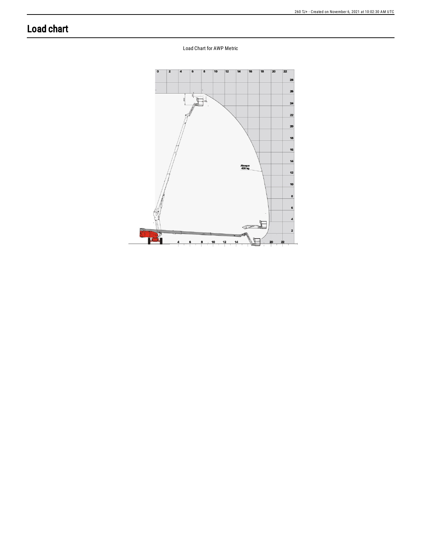## **Load chart**

Load Chart for AWP Metric

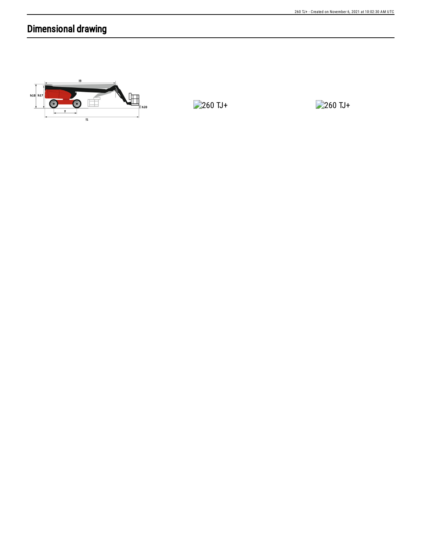## Dimensional drawing



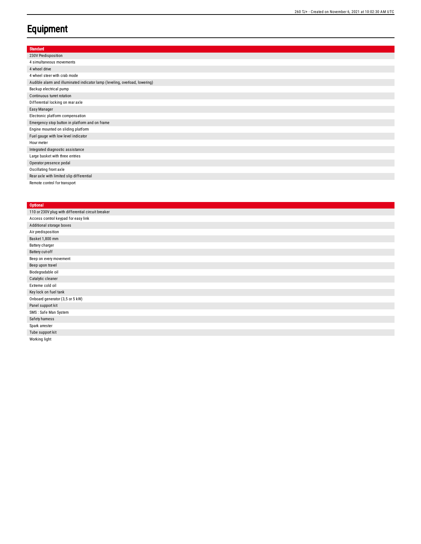## **Equipment**

| <b>Standard</b>                                                             |
|-----------------------------------------------------------------------------|
| 230V Predisposition                                                         |
| 4 simultaneous movements                                                    |
| 4 wheel drive                                                               |
| 4 wheel steer with crab mode                                                |
| Audible alarm and illuminated indicator lamp (leveling, overload, lowering) |
| Backup electrical pump                                                      |
| Continuous turret rotation                                                  |
| Differential locking on rear axle                                           |
| Easy Manager                                                                |
| Electronic platform compensation                                            |
| Emergency stop button in platform and on frame                              |
| Engine mounted on sliding platform                                          |
| Fuel gauge with low level indicator                                         |
| Hour meter                                                                  |
| Integrated diagnostic assistance                                            |
| Large basket with three entries                                             |
| Operator presence pedal                                                     |
| Oscillating front axle                                                      |
| Rear axle with limited slip differential                                    |
| Remote control for transport                                                |

## **Optional**

| 110 or 230V plug with differential circuit breaker |
|----------------------------------------------------|
| Access control keypad for easy link                |
| Additional storage boxes                           |
| Air predisposition                                 |
| Basket 1,800 mm                                    |
| Battery charger                                    |
| Battery cut-off                                    |
| Beep on every movement                             |
| Beep upon travel                                   |
| Biodegradable oil                                  |
| Catalytic cleaner                                  |
| Extreme cold oil                                   |
| Key lock on fuel tank                              |
| Onboard generator (3,5 or 5 kW)                    |
| Panel support kit                                  |
| SMS: Safe Man System                               |
| Safety hamess                                      |
| Spark arrester                                     |
| Tube support kit                                   |
| Working light                                      |